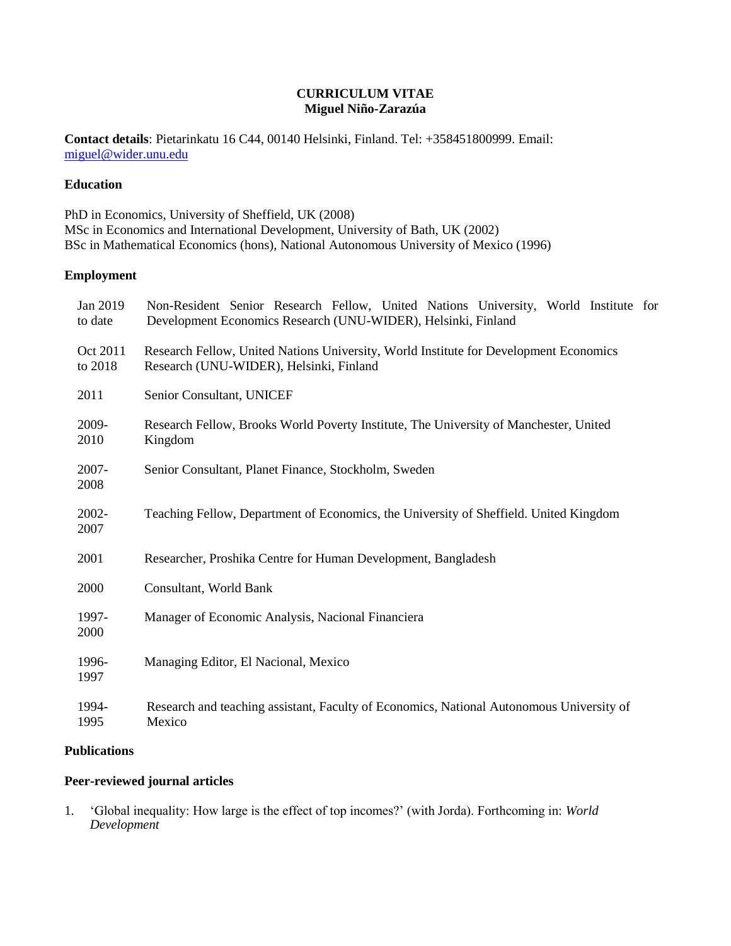### **CURRICULUM VITAE Miguel Niño-Zarazúa**

**Contact details**: Pietarinkatu 16 C44, 00140 Helsinki, Finland. Tel: +358451800999. Email: [miguel@wider.unu.edu](mailto:miguel@wider.unu.edu)

# **Education**

PhD in Economics, University of Sheffield, UK (2008) MSc in Economics and International Development, University of Bath, UK (2002) BSc in Mathematical Economics (hons), National Autonomous University of Mexico (1996)

## **Employment**

| Jan 2019<br>to date | Non-Resident Senior Research Fellow, United Nations University, World Institute for<br>Development Economics Research (UNU-WIDER), Helsinki, Finland |
|---------------------|------------------------------------------------------------------------------------------------------------------------------------------------------|
| Oct 2011<br>to 2018 | Research Fellow, United Nations University, World Institute for Development Economics<br>Research (UNU-WIDER), Helsinki, Finland                     |
| 2011                | Senior Consultant, UNICEF                                                                                                                            |
| 2009-<br>2010       | Research Fellow, Brooks World Poverty Institute, The University of Manchester, United<br>Kingdom                                                     |
| $2007 -$<br>2008    | Senior Consultant, Planet Finance, Stockholm, Sweden                                                                                                 |
| $2002 -$<br>2007    | Teaching Fellow, Department of Economics, the University of Sheffield. United Kingdom                                                                |
| 2001                | Researcher, Proshika Centre for Human Development, Bangladesh                                                                                        |
| 2000                | Consultant, World Bank                                                                                                                               |
| 1997-<br>2000       | Manager of Economic Analysis, Nacional Financiera                                                                                                    |
| 1996-<br>1997       | Managing Editor, El Nacional, Mexico                                                                                                                 |
| 1994-<br>1995       | Research and teaching assistant, Faculty of Economics, National Autonomous University of<br>Mexico                                                   |

### **Publications**

# **Peer-reviewed journal articles**

1. 'Global inequality: How large is the effect of top incomes?' (with Jorda). Forthcoming in: *World Development*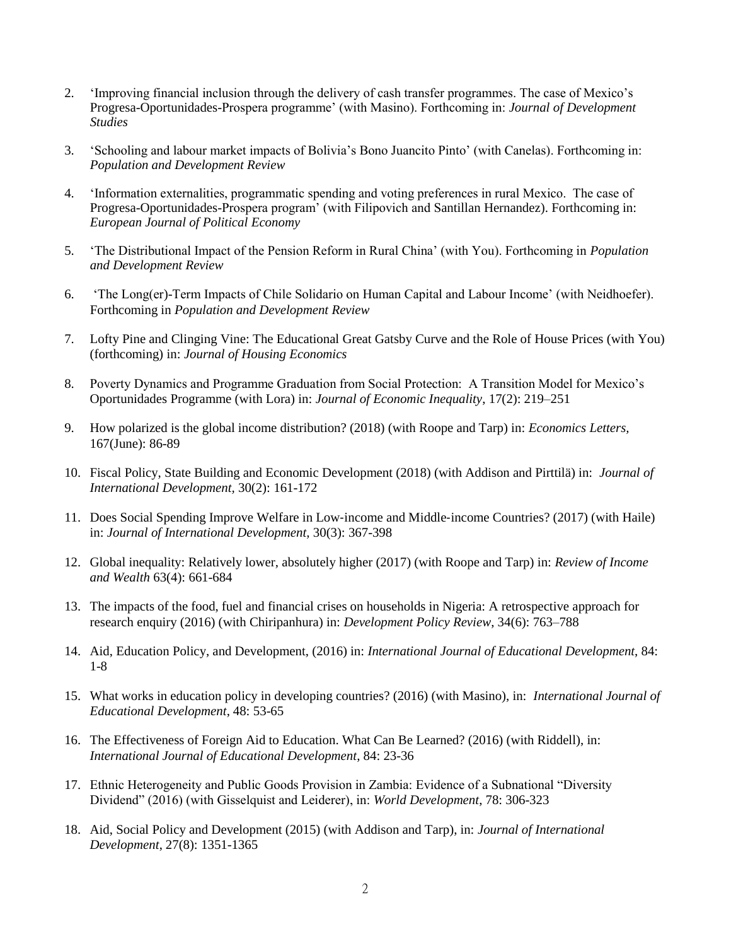- 2. 'Improving financial inclusion through the delivery of cash transfer programmes. The case of Mexico's Progresa-Oportunidades-Prospera programme' (with Masino). Forthcoming in: *Journal of Development Studies*
- 3. 'Schooling and labour market impacts of Bolivia's Bono Juancito Pinto' (with Canelas). Forthcoming in: *Population and Development Review*
- 4. 'Information externalities, programmatic spending and voting preferences in rural Mexico. The case of Progresa-Oportunidades-Prospera program' (with Filipovich and Santillan Hernandez). Forthcoming in: *European Journal of Political Economy*
- 5. 'The Distributional Impact of the Pension Reform in Rural China' (with You). Forthcoming in *Population and Development Review*
- 6. 'The Long(er)-Term Impacts of Chile Solidario on Human Capital and Labour Income' (with Neidhoefer). Forthcoming in *Population and Development Review*
- 7. Lofty Pine and Clinging Vine: The Educational Great Gatsby Curve and the Role of House Prices (with You) (forthcoming) in: *Journal of Housing Economics*
- 8. Poverty Dynamics and Programme Graduation from Social Protection: A Transition Model for Mexico's Oportunidades Programme (with Lora) in: *Journal of Economic Inequality*, 17(2): 219–251
- 9. How polarized is the global income distribution? (2018) (with Roope and Tarp) in: *Economics Letters,*  [167\(](https://www.sciencedirect.com/science/journal/01651765/167/supp/C)June): 86-89
- 10. Fiscal Policy, State Building and Economic Development (2018) (with Addison and Pirttilä) in: *Journal of International Development,* 30(2): 161-172
- 11. Does Social Spending Improve Welfare in Low-income and Middle-income Countries? (2017) (with Haile) in: *Journal of International Development,* 30(3): 367-398
- 12. Global inequality: Relatively lower, absolutely higher (2017) (with Roope and Tarp) in: *Review of Income and Wealth* 63(4): 661-684
- 13. The impacts of the food, fuel and financial crises on households in Nigeria: A retrospective approach for research enquiry (2016) (with Chiripanhura) in: *Development Policy Review*, 34(6): 763–788
- 14. Aid, Education Policy, and Development, (2016) in: *International Journal of Educational Development*, 84: 1-8
- 15. What works in education policy in developing countries? (2016) (with Masino), in: *International Journal of Educational Development*, 48: 53-65
- 16. The Effectiveness of Foreign Aid to Education. What Can Be Learned? (2016) (with Riddell), in: *International Journal of Educational Development*, 84: 23-36
- 17. Ethnic Heterogeneity and Public Goods Provision in Zambia: Evidence of a Subnational "Diversity Dividend" (2016) (with Gisselquist and Leiderer), in: *World Development*, 78: 306-323
- 18. Aid, Social Policy and Development (2015) (with Addison and Tarp), in: *Journal of International Development*, 27(8): 1351-1365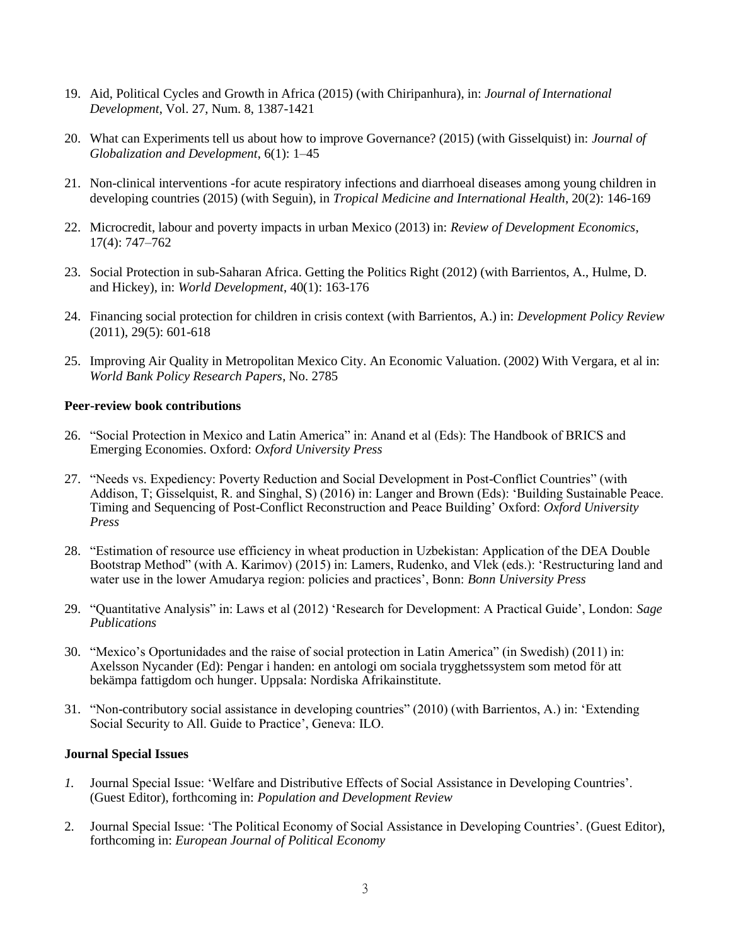- 19. Aid, Political Cycles and Growth in Africa (2015) (with Chiripanhura), in: *Journal of International Development*, Vol. 27, Num. 8, 1387-1421
- 20. What can Experiments tell us about how to improve Governance? (2015) (with Gisselquist) in: *Journal of Globalization and Development*, 6(1): 1–45
- 21. Non-clinical interventions -for acute respiratory infections and diarrhoeal diseases among young children in developing countries (2015) (with Seguin), in *Tropical Medicine and International Health*, 20(2): 146-169
- 22. Microcredit, labour and poverty impacts in urban Mexico (2013) in: *Review of Development Economics*, 17(4): 747–762
- 23. Social Protection in sub-Saharan Africa. Getting the Politics Right (2012) (with Barrientos, A., Hulme, D. and Hickey), in: *World Development*, 40(1): 163-176
- 24. Financing social protection for children in crisis context (with Barrientos, A.) in: *Development Policy Review* (2011), 29(5): 601-618
- 25. Improving Air Quality in Metropolitan Mexico City. An Economic Valuation. (2002) With Vergara, et al in: *World Bank Policy Research Papers*, No. 2785

### **Peer-review book contributions**

- 26. "Social Protection in Mexico and Latin America" in: Anand et al (Eds): The Handbook of BRICS and Emerging Economies. Oxford: *Oxford University Press*
- 27. "Needs vs. Expediency: Poverty Reduction and Social Development in Post-Conflict Countries" (with Addison, T; Gisselquist, R. and Singhal, S) (2016) in: Langer and Brown (Eds): 'Building Sustainable Peace. Timing and Sequencing of Post-Conflict Reconstruction and Peace Building' Oxford: *Oxford University Press*
- 28. "Estimation of resource use efficiency in wheat production in Uzbekistan: Application of the DEA Double Bootstrap Method" (with A. Karimov) (2015) in: Lamers, Rudenko, and Vlek (eds.): 'Restructuring land and water use in the lower Amudarya region: policies and practices', Bonn: *Bonn University Press*
- 29. "Quantitative Analysis" in: Laws et al (2012) 'Research for Development: A Practical Guide', London: *Sage Publications*
- 30. "Mexico's Oportunidades and the raise of social protection in Latin America" (in Swedish) (2011) in: Axelsson Nycander (Ed): Pengar i handen: en antologi om sociala trygghetssystem som metod för att bekämpa fattigdom och hunger. Uppsala: Nordiska Afrikainstitute.
- 31. "Non-contributory social assistance in developing countries" (2010) (with Barrientos, A.) in: 'Extending Social Security to All. Guide to Practice', Geneva: ILO.

### **Journal Special Issues**

- *1.* Journal Special Issue: 'Welfare and Distributive Effects of Social Assistance in Developing Countries'. (Guest Editor), forthcoming in: *Population and Development Review*
- 2. Journal Special Issue: 'The Political Economy of Social Assistance in Developing Countries'. (Guest Editor), forthcoming in: *European Journal of Political Economy*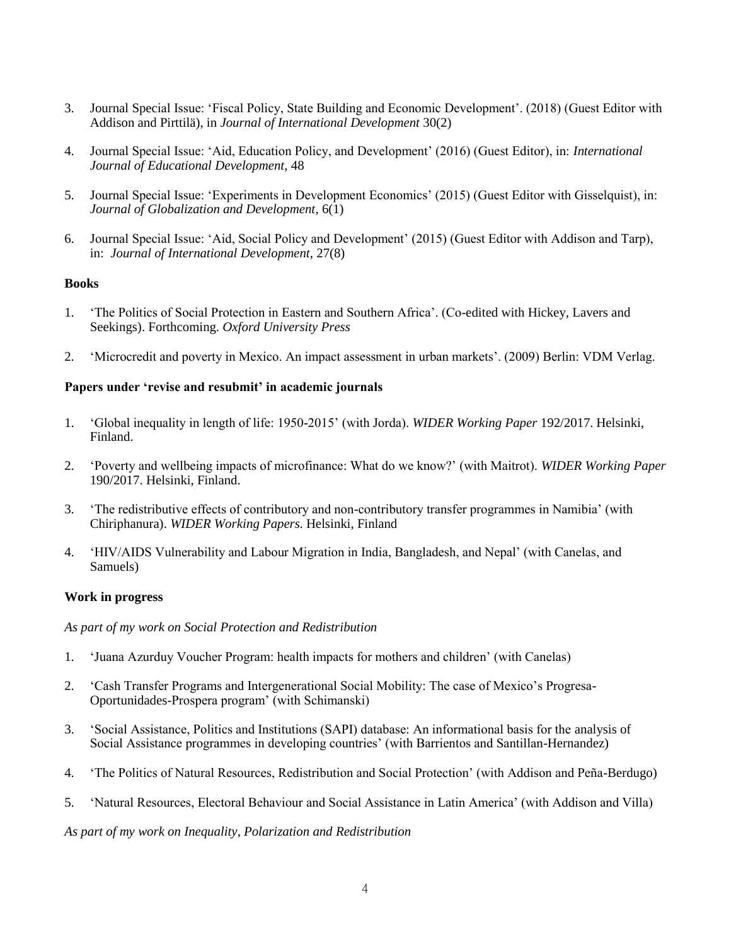- 3. Journal Special Issue: 'Fiscal Policy, State Building and Economic Development'. (2018) (Guest Editor with Addison and Pirttilä), in *Journal of International Development* 30(2)
- 4. Journal Special Issue: 'Aid, Education Policy, and Development' (2016) (Guest Editor), in: *International Journal of Educational Development*, 48
- 5. Journal Special Issue: 'Experiments in Development Economics' (2015) (Guest Editor with Gisselquist), in: *Journal of Globalization and Development*, 6(1)
- 6. Journal Special Issue: 'Aid, Social Policy and Development' (2015) (Guest Editor with Addison and Tarp), in: *Journal of International Development*, 27(8)

### **Books**

- 1. 'The Politics of Social Protection in Eastern and Southern Africa'. (Co-edited with Hickey, Lavers and Seekings). Forthcoming. *Oxford University Press*
- 2. 'Microcredit and poverty in Mexico. An impact assessment in urban markets'. (2009) Berlin: VDM Verlag.

### **Papers under 'revise and resubmit' in academic journals**

- 1. 'Global inequality in length of life: 1950-2015' (with Jorda). *WIDER Working Paper* 192/2017. Helsinki, Finland.
- 2. 'Poverty and wellbeing impacts of microfinance: What do we know?' (with Maitrot). *WIDER Working Paper* 190/2017. Helsinki, Finland.
- 3. 'The redistributive effects of contributory and non-contributory transfer programmes in Namibia' (with Chiriphanura). *WIDER Working Papers.* Helsinki, Finland
- 4. 'HIV/AIDS Vulnerability and Labour Migration in India, Bangladesh, and Nepal' (with Canelas, and Samuels)

#### **Work in progress**

#### *As part of my work on Social Protection and Redistribution*

- 1. 'Juana Azurduy Voucher Program: health impacts for mothers and children' (with Canelas)
- 2. 'Cash Transfer Programs and Intergenerational Social Mobility: The case of Mexico's Progresa-Oportunidades-Prospera program' (with Schimanski)
- 3. 'Social Assistance, Politics and Institutions (SAPI) database: An informational basis for the analysis of Social Assistance programmes in developing countries' (with Barrientos and Santillan-Hernandez)
- 4. 'The Politics of Natural Resources, Redistribution and Social Protection' (with Addison and Peña-Berdugo)
- 5. 'Natural Resources, Electoral Behaviour and Social Assistance in Latin America' (with Addison and Villa)

#### *As part of my work on Inequality, Polarization and Redistribution*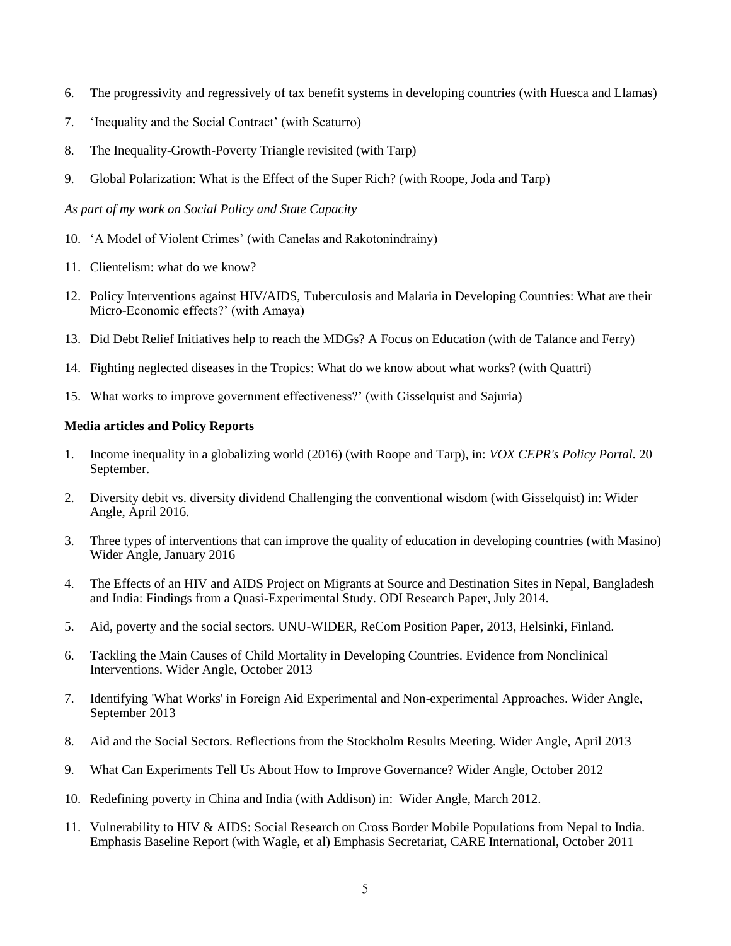- 6. The progressivity and regressively of tax benefit systems in developing countries (with Huesca and Llamas)
- 7. 'Inequality and the Social Contract' (with Scaturro)
- 8. The Inequality-Growth-Poverty Triangle revisited (with Tarp)
- 9. Global Polarization: What is the Effect of the Super Rich? (with Roope, Joda and Tarp)

*As part of my work on Social Policy and State Capacity* 

- 10. 'A Model of Violent Crimes' (with Canelas and Rakotonindrainy)
- 11. Clientelism: what do we know?
- 12. Policy Interventions against HIV/AIDS, Tuberculosis and Malaria in Developing Countries: What are their Micro-Economic effects?' (with Amaya)
- 13. Did Debt Relief Initiatives help to reach the MDGs? A Focus on Education (with de Talance and Ferry)
- 14. Fighting neglected diseases in the Tropics: What do we know about what works? (with Quattri)
- 15. What works to improve government effectiveness?' (with Gisselquist and Sajuria)

## **Media articles and Policy Reports**

- 1. Income inequality in a globalizing world (2016) (with Roope and Tarp), in: *VOX [CEPR's Policy Portal.](https://voxeu.org/)* 20 September.
- 2. Diversity debit vs. diversity dividend Challenging the conventional wisdom (with Gisselquist) in: Wider Angle, April 2016.
- 3. Three types of interventions that can improve the quality of education in developing countries (with Masino) Wider Angle, January 2016
- 4. The Effects of an HIV and AIDS Project on Migrants at Source and Destination Sites in Nepal, Bangladesh and India: Findings from a Quasi-Experimental Study. ODI Research Paper, July 2014.
- 5. Aid, poverty and the social sectors. UNU-WIDER, ReCom Position Paper, 2013, Helsinki, Finland.
- 6. Tackling the Main Causes of Child Mortality in Developing Countries. Evidence from Nonclinical Interventions. Wider Angle, October 2013
- 7. Identifying 'What Works' in Foreign Aid Experimental and Non-experimental Approaches. Wider Angle, September 2013
- 8. Aid and the Social Sectors. Reflections from the Stockholm Results Meeting. Wider Angle, April 2013
- 9. What Can Experiments Tell Us About How to Improve Governance? Wider Angle, October 2012
- 10. Redefining poverty in China and India (with Addison) in: Wider Angle, March 2012.
- 11. Vulnerability to HIV & AIDS: Social Research on Cross Border Mobile Populations from Nepal to India. Emphasis Baseline Report (with Wagle, et al) Emphasis Secretariat, CARE International, October 2011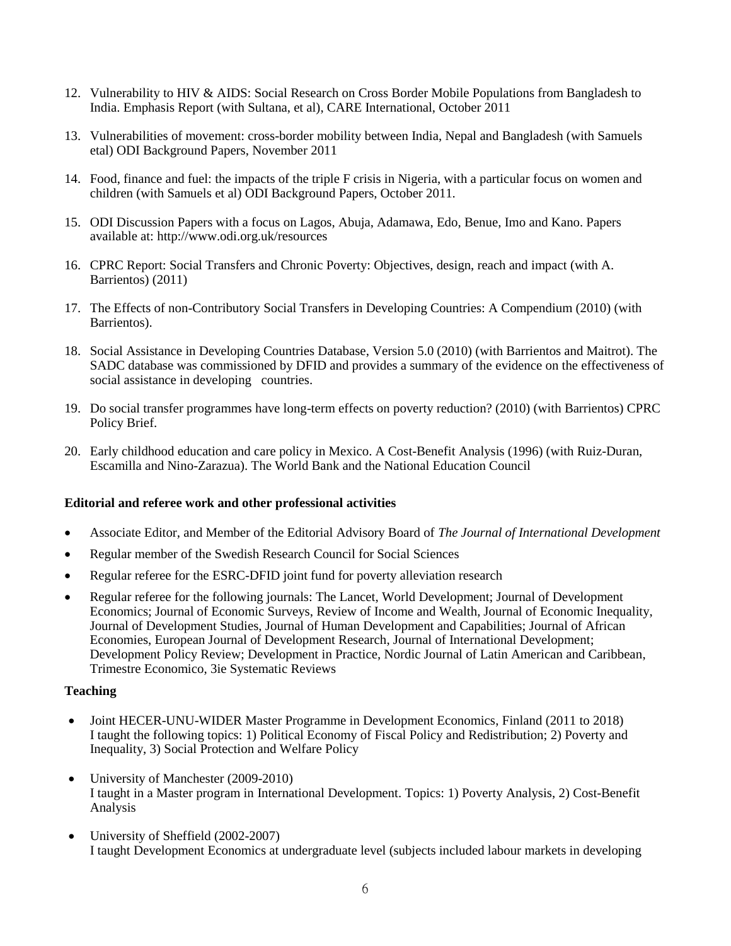- 12. Vulnerability to HIV & AIDS: Social Research on Cross Border Mobile Populations from Bangladesh to India. Emphasis Report (with Sultana, et al), CARE International, October 2011
- 13. Vulnerabilities of movement: cross-border mobility between India, Nepal and Bangladesh (with Samuels etal) ODI Background Papers, November 2011
- 14. Food, finance and fuel: the impacts of the triple F crisis in Nigeria, with a particular focus on women and children (with Samuels et al) ODI Background Papers, October 2011.
- 15. ODI Discussion Papers with a focus on Lagos, Abuja, Adamawa, Edo, Benue, Imo and Kano. Papers available at: http://www.odi.org.uk/resources
- 16. CPRC Report: Social Transfers and Chronic Poverty: Objectives, design, reach and impact (with A. Barrientos) (2011)
- 17. The Effects of non-Contributory Social Transfers in Developing Countries: A Compendium (2010) (with Barrientos).
- 18. Social Assistance in Developing Countries Database, Version 5.0 (2010) (with Barrientos and Maitrot). The SADC database was commissioned by DFID and provides a summary of the evidence on the effectiveness of social assistance in developing countries.
- 19. Do social transfer programmes have long-term effects on poverty reduction? (2010) (with Barrientos) CPRC Policy Brief.
- 20. Early childhood education and care policy in Mexico. A Cost-Benefit Analysis (1996) (with Ruiz-Duran, Escamilla and Nino-Zarazua). The World Bank and the National Education Council

### **Editorial and referee work and other professional activities**

- Associate Editor, and Member of the Editorial Advisory Board of *The Journal of International Development*
- Regular member of the Swedish Research Council for Social Sciences
- Regular referee for the ESRC-DFID joint fund for poverty alleviation research
- Regular referee for the following journals: The Lancet, World Development; Journal of Development Economics; Journal of Economic Surveys, Review of Income and Wealth, Journal of Economic Inequality, Journal of Development Studies, Journal of Human Development and Capabilities; Journal of African Economies, European Journal of Development Research, Journal of International Development; Development Policy Review; Development in Practice, Nordic Journal of Latin American and Caribbean, Trimestre Economico, 3ie Systematic Reviews

#### **Teaching**

- Joint HECER-UNU-WIDER Master Programme in Development Economics, Finland (2011 to 2018) I taught the following topics: 1) Political Economy of Fiscal Policy and Redistribution; 2) Poverty and Inequality, 3) Social Protection and Welfare Policy
- University of Manchester (2009-2010) I taught in a Master program in International Development. Topics: 1) Poverty Analysis, 2) Cost-Benefit Analysis
- University of Sheffield (2002-2007) I taught Development Economics at undergraduate level (subjects included labour markets in developing